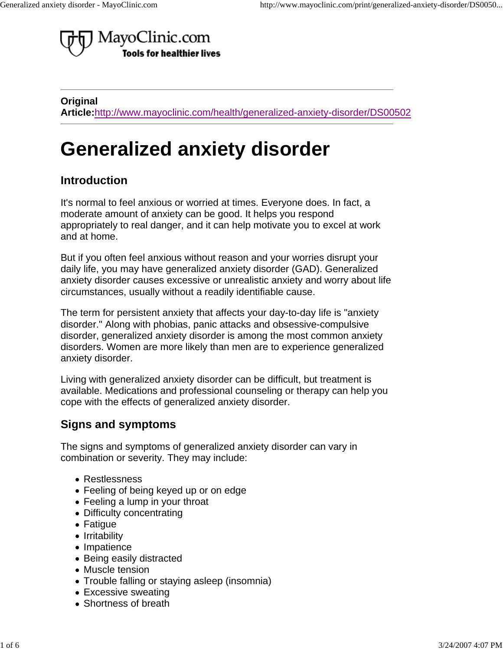

**Original Article:**http://www.mayoclinic.com/health/generalized-anxiety-disorder/DS00502

# **Generalized anxiety disorder**

#### **Introduction**

It's normal to feel anxious or worried at times. Everyone does. In fact, a moderate amount of anxiety can be good. It helps you respond appropriately to real danger, and it can help motivate you to excel at work and at home.

But if you often feel anxious without reason and your worries disrupt your daily life, you may have generalized anxiety disorder (GAD). Generalized anxiety disorder causes excessive or unrealistic anxiety and worry about life circumstances, usually without a readily identifiable cause.

The term for persistent anxiety that affects your day-to-day life is "anxiety disorder." Along with phobias, panic attacks and obsessive-compulsive disorder, generalized anxiety disorder is among the most common anxiety disorders. Women are more likely than men are to experience generalized anxiety disorder.

Living with generalized anxiety disorder can be difficult, but treatment is available. Medications and professional counseling or therapy can help you cope with the effects of generalized anxiety disorder.

#### **Signs and symptoms**

The signs and symptoms of generalized anxiety disorder can vary in combination or severity. They may include:

- Restlessness
- Feeling of being keyed up or on edge
- Feeling a lump in your throat
- Difficulty concentrating
- Fatigue
- Irritability
- Impatience
- Being easily distracted
- Muscle tension
- Trouble falling or staying asleep (insomnia)
- Excessive sweating
- Shortness of breath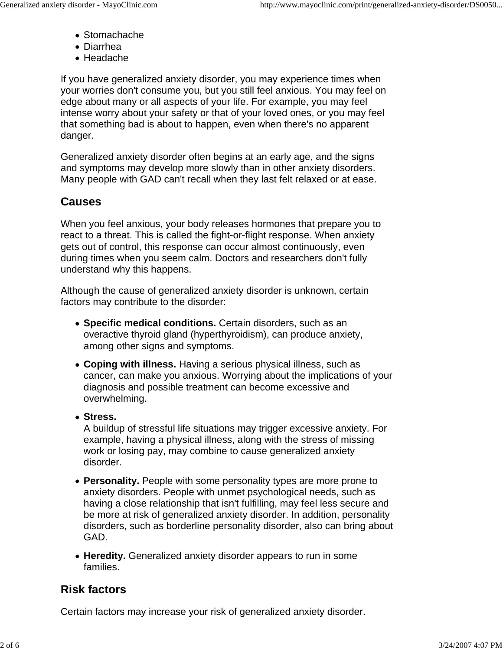- Stomachache
- Diarrhea
- Headache

If you have generalized anxiety disorder, you may experience times when your worries don't consume you, but you still feel anxious. You may feel on edge about many or all aspects of your life. For example, you may feel intense worry about your safety or that of your loved ones, or you may feel that something bad is about to happen, even when there's no apparent danger.

Generalized anxiety disorder often begins at an early age, and the signs and symptoms may develop more slowly than in other anxiety disorders. Many people with GAD can't recall when they last felt relaxed or at ease.

## **Causes**

When you feel anxious, your body releases hormones that prepare you to react to a threat. This is called the fight-or-flight response. When anxiety gets out of control, this response can occur almost continuously, even during times when you seem calm. Doctors and researchers don't fully understand why this happens.

Although the cause of generalized anxiety disorder is unknown, certain factors may contribute to the disorder:

- **Specific medical conditions.** Certain disorders, such as an overactive thyroid gland (hyperthyroidism), can produce anxiety, among other signs and symptoms.
- **Coping with illness.** Having a serious physical illness, such as cancer, can make you anxious. Worrying about the implications of your diagnosis and possible treatment can become excessive and overwhelming.
- **Stress.**

A buildup of stressful life situations may trigger excessive anxiety. For example, having a physical illness, along with the stress of missing work or losing pay, may combine to cause generalized anxiety disorder.

- **Personality.** People with some personality types are more prone to anxiety disorders. People with unmet psychological needs, such as having a close relationship that isn't fulfilling, may feel less secure and be more at risk of generalized anxiety disorder. In addition, personality disorders, such as borderline personality disorder, also can bring about GAD.
- **Heredity.** Generalized anxiety disorder appears to run in some families.

# **Risk factors**

Certain factors may increase your risk of generalized anxiety disorder.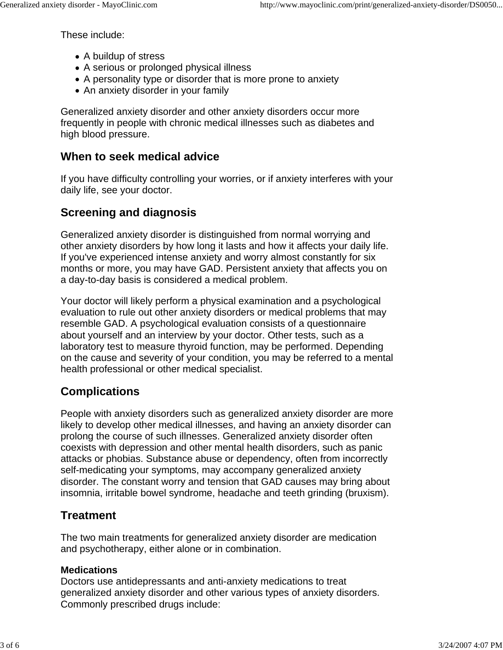These include:

- A buildup of stress
- A serious or prolonged physical illness
- A personality type or disorder that is more prone to anxiety
- An anxiety disorder in your family

Generalized anxiety disorder and other anxiety disorders occur more frequently in people with chronic medical illnesses such as diabetes and high blood pressure.

#### **When to seek medical advice**

If you have difficulty controlling your worries, or if anxiety interferes with your daily life, see your doctor.

## **Screening and diagnosis**

Generalized anxiety disorder is distinguished from normal worrying and other anxiety disorders by how long it lasts and how it affects your daily life. If you've experienced intense anxiety and worry almost constantly for six months or more, you may have GAD. Persistent anxiety that affects you on a day-to-day basis is considered a medical problem.

Your doctor will likely perform a physical examination and a psychological evaluation to rule out other anxiety disorders or medical problems that may resemble GAD. A psychological evaluation consists of a questionnaire about yourself and an interview by your doctor. Other tests, such as a laboratory test to measure thyroid function, may be performed. Depending on the cause and severity of your condition, you may be referred to a mental health professional or other medical specialist.

# **Complications**

People with anxiety disorders such as generalized anxiety disorder are more likely to develop other medical illnesses, and having an anxiety disorder can prolong the course of such illnesses. Generalized anxiety disorder often coexists with depression and other mental health disorders, such as panic attacks or phobias. Substance abuse or dependency, often from incorrectly self-medicating your symptoms, may accompany generalized anxiety disorder. The constant worry and tension that GAD causes may bring about insomnia, irritable bowel syndrome, headache and teeth grinding (bruxism).

## **Treatment**

The two main treatments for generalized anxiety disorder are medication and psychotherapy, either alone or in combination.

#### **Medications**

Doctors use antidepressants and anti-anxiety medications to treat generalized anxiety disorder and other various types of anxiety disorders. Commonly prescribed drugs include: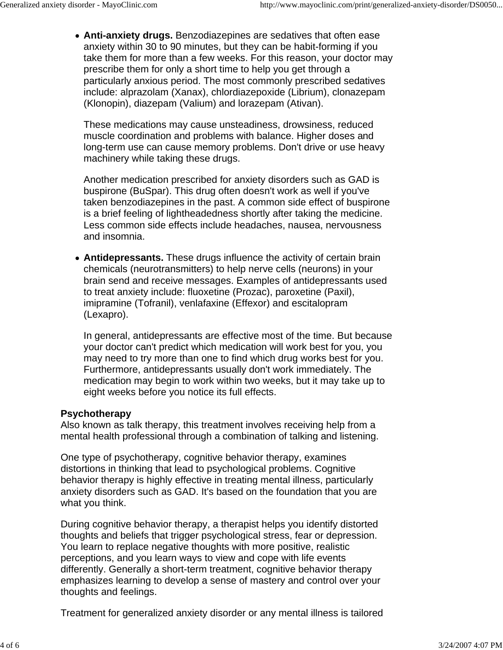**Anti-anxiety drugs.** Benzodiazepines are sedatives that often ease anxiety within 30 to 90 minutes, but they can be habit-forming if you take them for more than a few weeks. For this reason, your doctor may prescribe them for only a short time to help you get through a particularly anxious period. The most commonly prescribed sedatives include: alprazolam (Xanax), chlordiazepoxide (Librium), clonazepam (Klonopin), diazepam (Valium) and lorazepam (Ativan).

These medications may cause unsteadiness, drowsiness, reduced muscle coordination and problems with balance. Higher doses and long-term use can cause memory problems. Don't drive or use heavy machinery while taking these drugs.

Another medication prescribed for anxiety disorders such as GAD is buspirone (BuSpar). This drug often doesn't work as well if you've taken benzodiazepines in the past. A common side effect of buspirone is a brief feeling of lightheadedness shortly after taking the medicine. Less common side effects include headaches, nausea, nervousness and insomnia.

**Antidepressants.** These drugs influence the activity of certain brain chemicals (neurotransmitters) to help nerve cells (neurons) in your brain send and receive messages. Examples of antidepressants used to treat anxiety include: fluoxetine (Prozac), paroxetine (Paxil), imipramine (Tofranil), venlafaxine (Effexor) and escitalopram (Lexapro).

In general, antidepressants are effective most of the time. But because your doctor can't predict which medication will work best for you, you may need to try more than one to find which drug works best for you. Furthermore, antidepressants usually don't work immediately. The medication may begin to work within two weeks, but it may take up to eight weeks before you notice its full effects.

#### **Psychotherapy**

Also known as talk therapy, this treatment involves receiving help from a mental health professional through a combination of talking and listening.

One type of psychotherapy, cognitive behavior therapy, examines distortions in thinking that lead to psychological problems. Cognitive behavior therapy is highly effective in treating mental illness, particularly anxiety disorders such as GAD. It's based on the foundation that you are what you think.

During cognitive behavior therapy, a therapist helps you identify distorted thoughts and beliefs that trigger psychological stress, fear or depression. You learn to replace negative thoughts with more positive, realistic perceptions, and you learn ways to view and cope with life events differently. Generally a short-term treatment, cognitive behavior therapy emphasizes learning to develop a sense of mastery and control over your thoughts and feelings.

Treatment for generalized anxiety disorder or any mental illness is tailored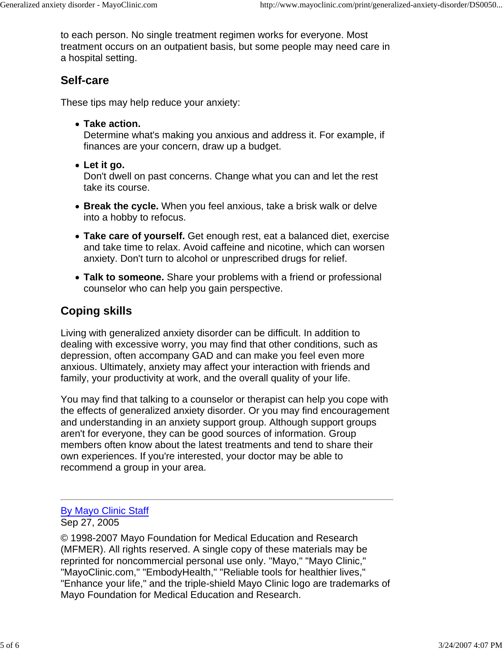to each person. No single treatment regimen works for everyone. Most treatment occurs on an outpatient basis, but some people may need care in a hospital setting.

#### **Self-care**

These tips may help reduce your anxiety:

**Take action.**

Determine what's making you anxious and address it. For example, if finances are your concern, draw up a budget.

**Let it go.**

Don't dwell on past concerns. Change what you can and let the rest take its course.

- **Break the cycle.** When you feel anxious, take a brisk walk or delve into a hobby to refocus.
- **Take care of yourself.** Get enough rest, eat a balanced diet, exercise and take time to relax. Avoid caffeine and nicotine, which can worsen anxiety. Don't turn to alcohol or unprescribed drugs for relief.
- **Talk to someone.** Share your problems with a friend or professional counselor who can help you gain perspective.

# **Coping skills**

Living with generalized anxiety disorder can be difficult. In addition to dealing with excessive worry, you may find that other conditions, such as depression, often accompany GAD and can make you feel even more anxious. Ultimately, anxiety may affect your interaction with friends and family, your productivity at work, and the overall quality of your life.

You may find that talking to a counselor or therapist can help you cope with the effects of generalized anxiety disorder. Or you may find encouragement and understanding in an anxiety support group. Although support groups aren't for everyone, they can be good sources of information. Group members often know about the latest treatments and tend to share their own experiences. If you're interested, your doctor may be able to recommend a group in your area.

## By Mayo Clinic Staff

Sep 27, 2005

© 1998-2007 Mayo Foundation for Medical Education and Research (MFMER). All rights reserved. A single copy of these materials may be reprinted for noncommercial personal use only. "Mayo," "Mayo Clinic," "MayoClinic.com," "EmbodyHealth," "Reliable tools for healthier lives," "Enhance your life," and the triple-shield Mayo Clinic logo are trademarks of Mayo Foundation for Medical Education and Research.